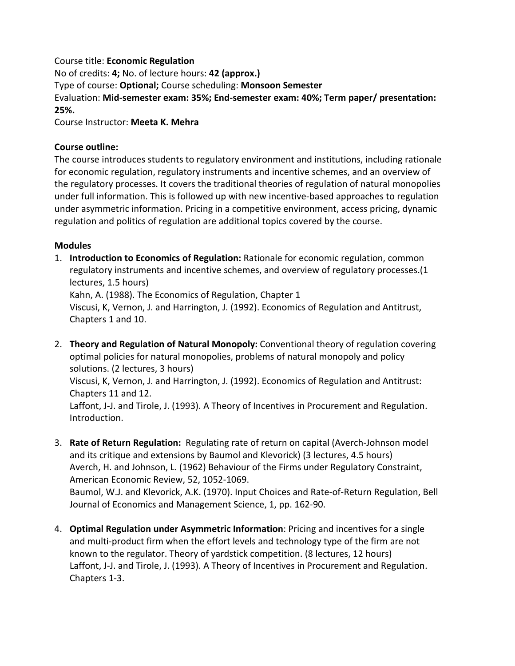Course title: **Economic Regulation** 

No of credits: **4;** No. of lecture hours: **42 (approx.)** Type of course: **Optional;** Course scheduling: **Monsoon Semester**  Evaluation: **Mid-semester exam: 35%; End-semester exam: 40%; Term paper/ presentation: 25%.**

Course Instructor: **Meeta K. Mehra**

## **Course outline:**

The course introduces students to regulatory environment and institutions, including rationale for economic regulation, regulatory instruments and incentive schemes, and an overview of the regulatory processes. It covers the traditional theories of regulation of natural monopolies under full information. This is followed up with new incentive-based approaches to regulation under asymmetric information. Pricing in a competitive environment, access pricing, dynamic regulation and politics of regulation are additional topics covered by the course.

## **Modules**

- 1. **Introduction to Economics of Regulation:** Rationale for economic regulation, common regulatory instruments and incentive schemes, and overview of regulatory processes.(1 lectures, 1.5 hours) Kahn, A. (1988). The Economics of Regulation, Chapter 1 Viscusi, K, Vernon, J. and Harrington, J. (1992). Economics of Regulation and Antitrust, Chapters 1 and 10.
- 2. **Theory and Regulation of Natural Monopoly:** Conventional theory of regulation covering optimal policies for natural monopolies, problems of natural monopoly and policy solutions. (2 lectures, 3 hours) Viscusi, K, Vernon, J. and Harrington, J. (1992). Economics of Regulation and Antitrust: Chapters 11 and 12. Laffont, J-J. and Tirole, J. (1993). A Theory of Incentives in Procurement and Regulation. Introduction.
- 3. **Rate of Return Regulation:** Regulating rate of return on capital (Averch-Johnson model and its critique and extensions by Baumol and Klevorick) (3 lectures, 4.5 hours) Averch, H. and Johnson, L. (1962) Behaviour of the Firms under Regulatory Constraint, American Economic Review, 52, 1052-1069.

Baumol, W.J. and Klevorick, A.K. (1970). Input Choices and Rate-of-Return Regulation, Bell Journal of Economics and Management Science, 1, pp. 162-90.

4. **Optimal Regulation under Asymmetric Information**: Pricing and incentives for a single and multi-product firm when the effort levels and technology type of the firm are not known to the regulator. Theory of yardstick competition. (8 lectures, 12 hours) Laffont, J-J. and Tirole, J. (1993). A Theory of Incentives in Procurement and Regulation. Chapters 1-3.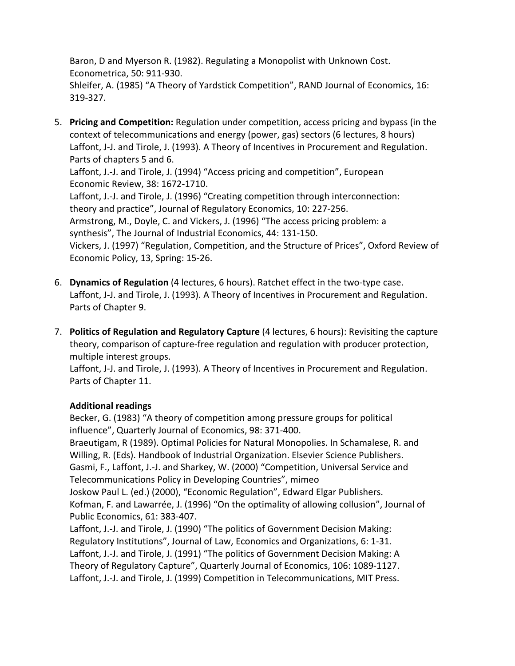Baron, D and Myerson R. (1982). Regulating a Monopolist with Unknown Cost. Econometrica, 50: 911-930. Shleifer, A. (1985) "A Theory of Yardstick Competition", RAND Journal of Economics, 16: 319-327.

5. **Pricing and Competition:** Regulation under competition, access pricing and bypass (in the context of telecommunications and energy (power, gas) sectors (6 lectures, 8 hours) Laffont, J-J. and Tirole, J. (1993). A Theory of Incentives in Procurement and Regulation. Parts of chapters 5 and 6.

Laffont, J.-J. and Tirole, J. (1994) "Access pricing and competition", European Economic Review, 38: 1672-1710.

Laffont, J.-J. and Tirole, J. (1996) "Creating competition through interconnection: theory and practice", Journal of Regulatory Economics, 10: 227-256. Armstrong, M., Doyle, C. and Vickers, J. (1996) "The access pricing problem: a synthesis", The Journal of Industrial Economics, 44: 131-150. Vickers, J. (1997) "Regulation, Competition, and the Structure of Prices", Oxford Review of

Economic Policy, 13, Spring: 15-26.

- 6. **Dynamics of Regulation** (4 lectures, 6 hours). Ratchet effect in the two-type case. Laffont, J-J. and Tirole, J. (1993). A Theory of Incentives in Procurement and Regulation. Parts of Chapter 9.
- 7. **Politics of Regulation and Regulatory Capture** (4 lectures, 6 hours): Revisiting the capture theory, comparison of capture-free regulation and regulation with producer protection, multiple interest groups.

Laffont, J-J. and Tirole, J. (1993). A Theory of Incentives in Procurement and Regulation. Parts of Chapter 11.

## **Additional readings**

Becker, G. (1983) "A theory of competition among pressure groups for political influence", Quarterly Journal of Economics, 98: 371-400.

Braeutigam, R (1989). Optimal Policies for Natural Monopolies. In Schamalese, R. and Willing, R. (Eds). Handbook of Industrial Organization. Elsevier Science Publishers. Gasmi, F., Laffont, J.-J. and Sharkey, W. (2000) "Competition, Universal Service and Telecommunications Policy in Developing Countries", mimeo

Joskow Paul L. (ed.) (2000), "Economic Regulation", Edward Elgar Publishers. Kofman, F. and Lawarrée, J. (1996) "On the optimality of allowing collusion", Journal of Public Economics, 61: 383-407.

Laffont, J.-J. and Tirole, J. (1990) "The politics of Government Decision Making: Regulatory Institutions", Journal of Law, Economics and Organizations, 6: 1-31. Laffont, J.-J. and Tirole, J. (1991) "The politics of Government Decision Making: A Theory of Regulatory Capture", Quarterly Journal of Economics, 106: 1089-1127. Laffont, J.-J. and Tirole, J. (1999) Competition in Telecommunications, MIT Press.